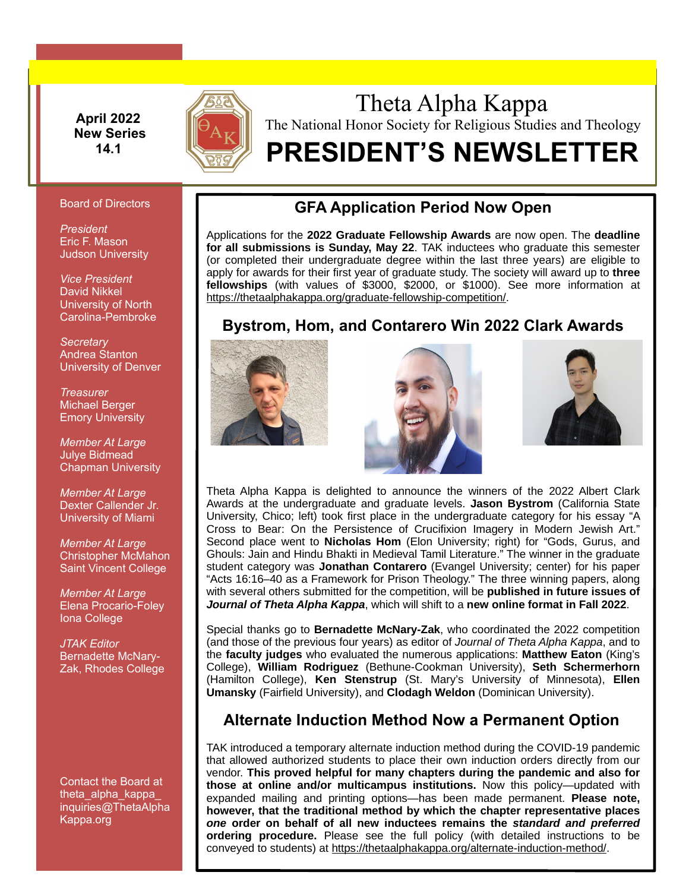**April 2022 New Series 14.1**



# Theta Alpha Kappa The National Honor Society for Religious Studies and Theology

# **PRESIDENT'S NEWSLETTER**

#### Board of Directors

*President* Eric F. Mason Judson University

*Vice President* David Nikkel University of North Carolina-Pembroke

*Secretary* Andrea Stanton University of Denver

*Treasurer* Michael Berger Emory University

*Member At Large* Julye Bidmead Chapman University

*Member At Large* Dexter Callender Jr. University of Miami

*Member At Large* Christopher McMahon Saint Vincent College

*Member At Large* Elena Procario-Foley Iona College

*JTAK Editor* Bernadette McNary-Zak, Rhodes College

Contact the Board at theta alpha kappa [inquiries@ThetaAlpha](mailto:inquiries@ThetaAlpha) Kappa.org

## **GFA Application Period Now Open**

Applications for the **2022 Graduate Fellowship Awards** are now open. The **deadline for all submissions is Sunday, May 22**. TAK inductees who graduate this semester (or completed their undergraduate degree within the last three years) are eligible to apply for awards for their first year of graduate study. The society will award up to **three fellowships** (with values of \$3000, \$2000, or \$1000). See more information at [https://thetaalphakappa.org/graduate-fellowship-competition/.](https://thetaalphakappa.org/graduate-fellowship-competition/)

# **Bystrom, Hom, and Contarero Win 2022 Clark Awards**







Theta Alpha Kappa is delighted to announce the winners of the 2022 Albert Clark Awards at the undergraduate and graduate levels. **Jason Bystrom** (California State University, Chico; left) took first place in the undergraduate category for his essay "A Cross to Bear: On the Persistence of Crucifixion Imagery in Modern Jewish Art." Second place went to **Nicholas Hom** (Elon University; right) for "Gods, Gurus, and Ghouls: Jain and Hindu Bhakti in Medieval Tamil Literature." The winner in the graduate student category was **Jonathan Contarero** (Evangel University; center) for his paper "Acts 16:16–40 as a Framework for Prison Theology." The three winning papers, along with several others submitted for the competition, will be **published in future issues of**  *Journal of Theta Alpha Kappa*, which will shift to a **new online format in Fall 2022**.

Special thanks go to **Bernadette McNary-Zak**, who coordinated the 2022 competition (and those of the previous four years) as editor of *Journal of Theta Alpha Kappa*, and to the **faculty judges** who evaluated the numerous applications: **Matthew Eaton** (King's College), **William Rodriguez** (Bethune-Cookman University), **Seth Schermerhorn** (Hamilton College), **Ken Stenstrup** (St. Mary's University of Minnesota), **Ellen Umansky** (Fairfield University), and **Clodagh Weldon** (Dominican University).

### **Alternate Induction Method Now a Permanent Option**

TAK introduced a temporary alternate induction method during the COVID-19 pandemic that allowed authorized students to place their own induction orders directly from our vendor. **This proved helpful for many chapters during the pandemic and also for those at online and/or multicampus institutions.** Now this policy—updated with expanded mailing and printing options—has been made permanent. **Please note, however, that the traditional method by which the chapter representative places**  *one* **order on behalf of all new inductees remains the** *standard and preferred* **ordering procedure.** Please see the full policy (with detailed instructions to be conveyed to students) at [https://thetaalphakappa.org/alternate-induction-method/.](https://thetaalphakappa.org/alternate-induction-method/)